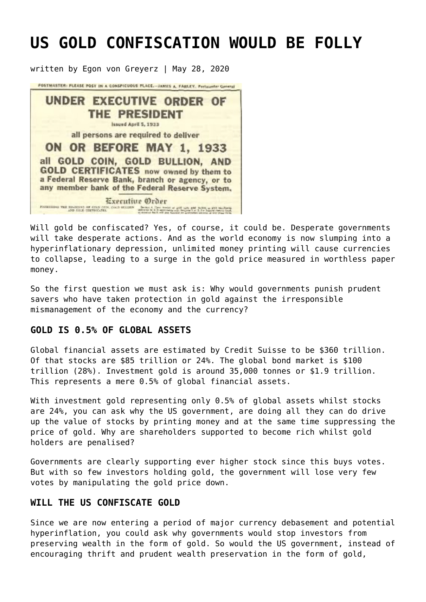# **[US GOLD CONFISCATION WOULD BE FOLLY](https://goldswitzerland.com/us-gold-confiscation-would-be-folly/)**

written by Egon von Greyerz | May 28, 2020



Will gold be confiscated? Yes, of course, it could be. Desperate governments will take desperate actions. And as the world economy is now slumping into a hyperinflationary depression, unlimited money printing will cause currencies to collapse, leading to a surge in the gold price measured in worthless paper money.

So the first question we must ask is: Why would governments punish prudent savers who have taken protection in gold against the irresponsible mismanagement of the economy and the currency?

### **GOLD IS 0.5% OF GLOBAL ASSETS**

Global financial assets are estimated by Credit Suisse to be \$360 trillion. Of that stocks are \$85 trillion or 24%. The global bond market is \$100 trillion (28%). Investment gold is around 35,000 tonnes or \$1.9 trillion. This represents a mere 0.5% of global financial assets.

With investment gold representing only 0.5% of global assets whilst stocks are 24%, you can ask why the US government, are doing all they can do drive up the value of stocks by printing money and at the same time suppressing the price of gold. Why are shareholders supported to become rich whilst gold holders are penalised?

Governments are clearly supporting ever higher stock since this buys votes. But with so few investors holding gold, the government will lose very few votes by manipulating the gold price down.

# **WILL THE US CONFISCATE GOLD**

Since we are now entering a period of major currency debasement and potential hyperinflation, you could ask why governments would stop investors from preserving wealth in the form of gold. So would the US government, instead of encouraging thrift and prudent wealth preservation in the form of gold,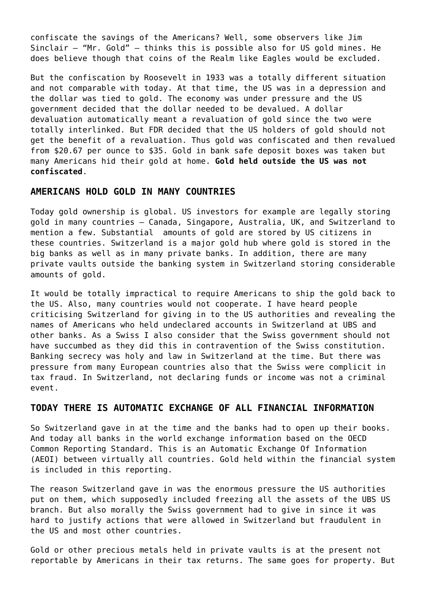confiscate the savings of the Americans? Well, some observers like Jim Sinclair – "Mr. Gold" – thinks this is possible also for US gold mines. He does believe though that coins of the Realm like Eagles would be excluded.

But the confiscation by Roosevelt in 1933 was a totally different situation and not comparable with today. At that time, the US was in a depression and the dollar was tied to gold. The economy was under pressure and the US government decided that the dollar needed to be devalued. A dollar devaluation automatically meant a revaluation of gold since the two were totally interlinked. But FDR decided that the US holders of gold should not get the benefit of a revaluation. Thus gold was confiscated and then revalued from \$20.67 per ounce to \$35. Gold in bank safe deposit boxes was taken but many Americans hid their gold at home. **Gold held outside the US was not confiscated**.

#### **AMERICANS HOLD GOLD IN MANY COUNTRIES**

Today gold ownership is global. US investors for example are legally storing gold in many countries – Canada, Singapore, Australia, UK, and Switzerland to mention a few. Substantial amounts of gold are stored by US citizens in these countries. Switzerland is a major gold hub where gold is stored in the big banks as well as in many private banks. In addition, there are many private vaults outside the banking system in Switzerland storing considerable amounts of gold.

It would be totally impractical to require Americans to ship the gold back to the US. Also, many countries would not cooperate. I have heard people criticising Switzerland for giving in to the US authorities and revealing the names of Americans who held undeclared accounts in Switzerland at UBS and other banks. As a Swiss I also consider that the Swiss government should not have succumbed as they did this in contravention of the Swiss constitution. Banking secrecy was holy and law in Switzerland at the time. But there was pressure from many European countries also that the Swiss were complicit in tax fraud. In Switzerland, not declaring funds or income was not a criminal event.

## **TODAY THERE IS AUTOMATIC EXCHANGE OF ALL FINANCIAL INFORMATION**

So Switzerland gave in at the time and the banks had to open up their books. And today all banks in the world exchange information based on the OECD Common Reporting Standard. This is an Automatic Exchange Of Information (AEOI) between virtually all countries. Gold held within the financial system is included in this reporting.

The reason Switzerland gave in was the enormous pressure the US authorities put on them, which supposedly included freezing all the assets of the UBS US branch. But also morally the Swiss government had to give in since it was hard to justify actions that were allowed in Switzerland but fraudulent in the US and most other countries.

Gold or other precious metals held in private vaults is at the present not reportable by Americans in their tax returns. The same goes for property. But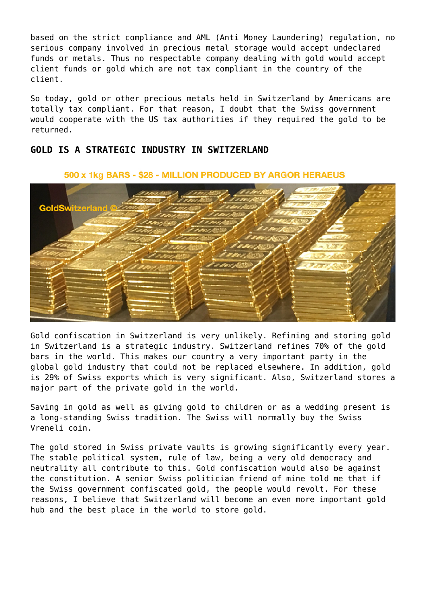based on the strict compliance and AML (Anti Money Laundering) regulation, no serious company involved in precious metal storage would accept undeclared funds or metals. Thus no respectable company dealing with gold would accept client funds or gold which are not tax compliant in the country of the client.

So today, gold or other precious metals held in Switzerland by Americans are totally tax compliant. For that reason, I doubt that the Swiss government would cooperate with the US tax authorities if they required the gold to be returned.

# **GOLD IS A STRATEGIC INDUSTRY IN SWITZERLAND**

# GoldSv **vitzerland**

#### 500 x 1kg BARS - \$28 - MILLION PRODUCED BY ARGOR HERAEUS

Gold confiscation in Switzerland is very unlikely. Refining and storing gold in Switzerland is a strategic industry. Switzerland refines 70% of the gold bars in the world. This makes our country a very important party in the global gold industry that could not be replaced elsewhere. In addition, gold is 29% of Swiss exports which is very significant. Also, Switzerland stores a major part of the private gold in the world.

Saving in gold as well as giving gold to children or as a wedding present is a long-standing Swiss tradition. The Swiss will normally buy the Swiss Vreneli coin.

The gold stored in Swiss private vaults is growing significantly every year. The stable political system, rule of law, being a very old democracy and neutrality all contribute to this. Gold confiscation would also be against the constitution. A senior Swiss politician friend of mine told me that if the Swiss government confiscated gold, the people would revolt. For these reasons, I believe that Switzerland will become an even more important gold hub and the best place in the world to store gold.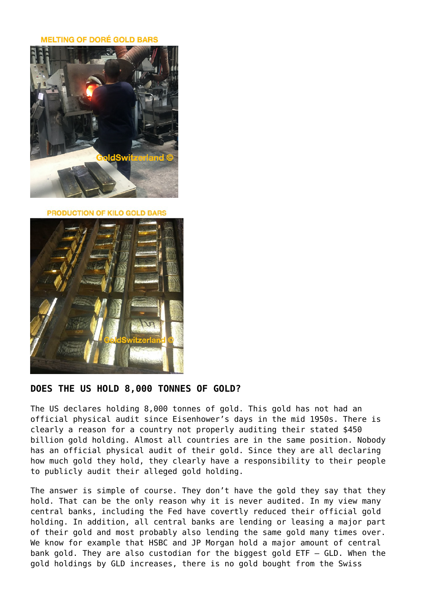**MELTING OF DORÉ GOLD BARS** 



**PRODUCTION OF KILO GOLD BARS** 



# **DOES THE US HOLD 8,000 TONNES OF GOLD?**

The US declares holding 8,000 tonnes of gold. This gold has not had an official physical audit since Eisenhower's days in the mid 1950s. There is clearly a reason for a country not properly auditing their stated \$450 billion gold holding. Almost all countries are in the same position. Nobody has an official physical audit of their gold. Since they are all declaring how much gold they hold, they clearly have a responsibility to their people to publicly audit their alleged gold holding.

The answer is simple of course. They don't have the gold they say that they hold. That can be the only reason why it is never audited. In my view many central banks, including the Fed have covertly reduced their official gold holding. In addition, all central banks are lending or leasing a major part of their gold and most probably also lending the same gold many times over. We know for example that HSBC and JP Morgan hold a major amount of central bank gold. They are also custodian for the biggest gold ETF – GLD. When the gold holdings by GLD increases, there is no gold bought from the Swiss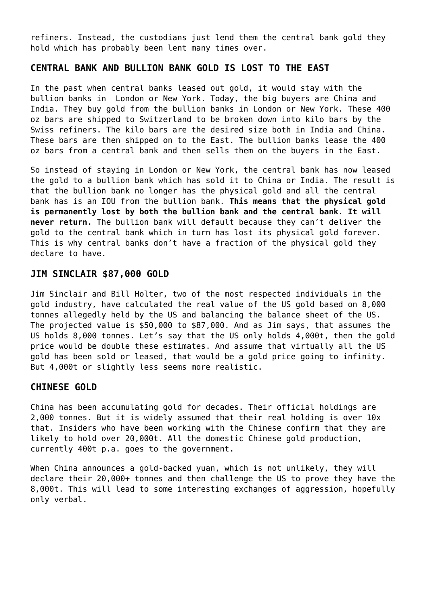refiners. Instead, the custodians just lend them the central bank gold they hold which has probably been lent many times over.

# **CENTRAL BANK AND BULLION BANK GOLD IS LOST TO THE EAST**

In the past when central banks leased out gold, it would stay with the bullion banks in London or New York. Today, the big buyers are China and India. They buy gold from the bullion banks in London or New York. These 400 oz bars are shipped to Switzerland to be broken down into kilo bars by the Swiss refiners. The kilo bars are the desired size both in India and China. These bars are then shipped on to the East. The bullion banks lease the 400 oz bars from a central bank and then sells them on the buyers in the East.

So instead of staying in London or New York, the central bank has now leased the gold to a bullion bank which has sold it to China or India. The result is that the bullion bank no longer has the physical gold and all the central bank has is an IOU from the bullion bank. **This means that the physical gold is permanently lost by both the bullion bank and the central bank. It will never return.** The bullion bank will default because they can't deliver the gold to the central bank which in turn has lost its physical gold forever. This is why central banks don't have a fraction of the physical gold they declare to have.

#### **JIM SINCLAIR \$87,000 GOLD**

Jim Sinclair and Bill Holter, two of the most respected individuals in the gold industry, have calculated the real value of the US gold based on 8,000 tonnes allegedly held by the US and balancing the balance sheet of the US. The projected value is \$50,000 to \$87,000. And as Jim says, that assumes the US holds 8,000 tonnes. Let's say that the US only holds 4,000t, then the gold price would be double these estimates. And assume that virtually all the US gold has been sold or leased, that would be a gold price going to infinity. But 4,000t or slightly less seems more realistic.

### **CHINESE GOLD**

China has been accumulating gold for decades. Their official holdings are 2,000 tonnes. But it is widely assumed that their real holding is over 10x that. Insiders who have been working with the Chinese confirm that they are likely to hold over 20,000t. All the domestic Chinese gold production, currently 400t p.a. goes to the government.

When China announces a gold-backed yuan, which is not unlikely, they will declare their 20,000+ tonnes and then challenge the US to prove they have the 8,000t. This will lead to some interesting exchanges of aggression, hopefully only verbal.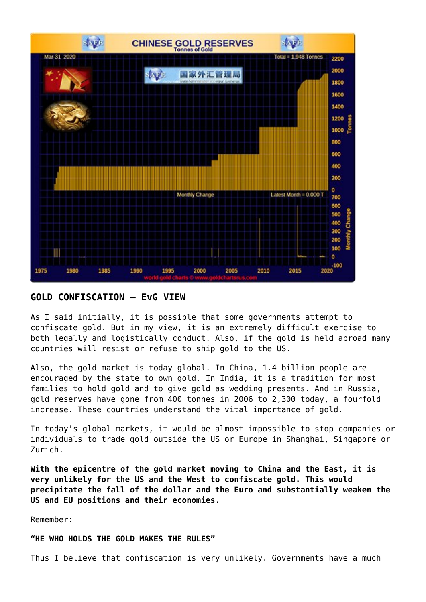

#### **GOLD CONFISCATION – EvG VIEW**

As I said initially, it is possible that some governments attempt to confiscate gold. But in my view, it is an extremely difficult exercise to both legally and logistically conduct. Also, if the gold is held abroad many countries will resist or refuse to ship gold to the US.

Also, the gold market is today global. In China, 1.4 billion people are encouraged by the state to own gold. In India, it is a tradition for most families to hold gold and to give gold as wedding presents. And in Russia, gold reserves have gone from 400 tonnes in 2006 to 2,300 today, a fourfold increase. These countries understand the vital importance of gold.

In today's global markets, it would be almost impossible to stop companies or individuals to trade gold outside the US or Europe in Shanghai, Singapore or Zurich.

**With the epicentre of the gold market moving to China and the East, it is very unlikely for the US and the West to confiscate gold. This would precipitate the fall of the dollar and the Euro and substantially weaken the US and EU positions and their economies.**

Remember:

#### **"HE WHO HOLDS THE GOLD MAKES THE RULES"**

Thus I believe that confiscation is very unlikely. Governments have a much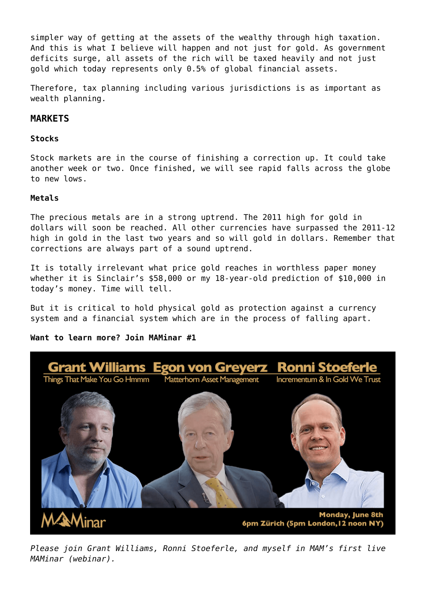simpler way of getting at the assets of the wealthy through high taxation. And this is what I believe will happen and not just for gold. As government deficits surge, all assets of the rich will be taxed heavily and not just gold which today represents only 0.5% of global financial assets.

Therefore, tax planning including various jurisdictions is as important as wealth planning.

# **MARKETS**

#### **Stocks**

Stock markets are in the course of finishing a correction up. It could take another week or two. Once finished, we will see rapid falls across the globe to new lows.

#### **Metals**

The precious metals are in a strong uptrend. The 2011 high for gold in dollars will soon be reached. All other currencies have surpassed the 2011-12 high in gold in the last two years and so will gold in dollars. Remember that corrections are always part of a sound uptrend.

It is totally irrelevant what price gold reaches in worthless paper money whether it is Sinclair's \$58,000 or my 18-year-old prediction of \$10,000 in today's money. Time will tell.

But it is critical to hold physical gold as protection against a currency system and a financial system which are in the process of falling apart.

**Want to learn more? Join MAMinar #1**



*Please join Grant Williams, Ronni Stoeferle, and myself in MAM's first live MAMinar (webinar).*